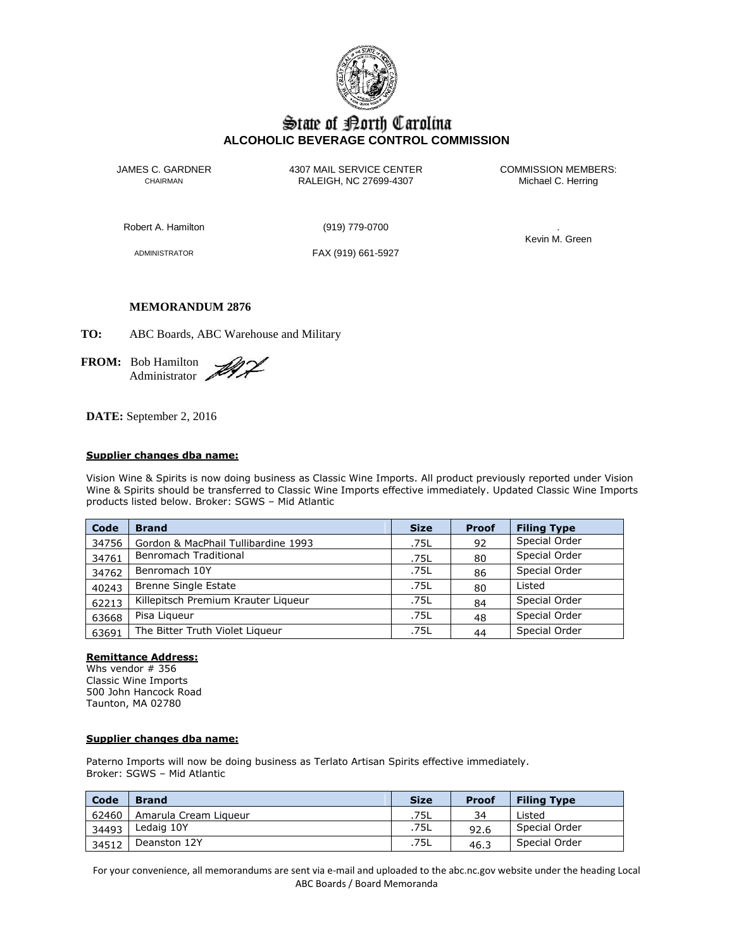

# State of Borth Carolina **ALCOHOLIC BEVERAGE CONTROL COMMISSION**

JAMES C. GARDNER 4307 MAIL SERVICE CENTER<br>CHAIRMAN CHAIRMAN RALEIGH, NC 27699-4307 Michael C. Herring CHAIRMAN RALEIGH, NC 27699-4307

Robert A. Hamilton (919) 779-0700 .

ADMINISTRATOR FAX (919) 661-5927

Kevin M. Green

## **MEMORANDUM 2876**

**TO:** ABC Boards, ABC Warehouse and Military

**FROM:** Bob Hamilton Administrator

**DATE:** September 2, 2016

#### **Supplier changes dba name:**

Vision Wine & Spirits is now doing business as Classic Wine Imports. All product previously reported under Vision Wine & Spirits should be transferred to Classic Wine Imports effective immediately. Updated Classic Wine Imports products listed below. Broker: SGWS – Mid Atlantic

| Code  | <b>Brand</b>                        | <b>Size</b> | <b>Proof</b> | <b>Filing Type</b> |
|-------|-------------------------------------|-------------|--------------|--------------------|
| 34756 | Gordon & MacPhail Tullibardine 1993 | .75L        | 92           | Special Order      |
| 34761 | Benromach Traditional               | .75L        | 80           | Special Order      |
| 34762 | Benromach 10Y                       | .75L        | 86           | Special Order      |
| 40243 | <b>Brenne Single Estate</b>         | .75L        | 80           | Listed             |
| 62213 | Killepitsch Premium Krauter Liqueur | .75L        | 84           | Special Order      |
| 63668 | Pisa Ligueur                        | .75L        | 48           | Special Order      |
| 63691 | The Bitter Truth Violet Liqueur     | .75L        | 44           | Special Order      |

#### **Remittance Address:**

Whs vendor # 356 Classic Wine Imports 500 John Hancock Road Taunton, MA 02780

## **Supplier changes dba name:**

Paterno Imports will now be doing business as Terlato Artisan Spirits effective immediately. Broker: SGWS – Mid Atlantic

| Code  | <b>Brand</b>          | <b>Size</b> | <b>Proof</b> | <b>Filing Type</b> |
|-------|-----------------------|-------------|--------------|--------------------|
| 62460 | Amarula Cream Ligueur | .75L        | 34           | Listed             |
| 34493 | Ledaig 10Y            | .75L        | 92.6         | Special Order      |
| 34512 | Deanston 12Y          | .75L        | 46.3         | Special Order      |

For your convenience, all memorandums are sent via e-mail and uploaded to the abc.nc.gov website under the heading Local ABC Boards / Board Memoranda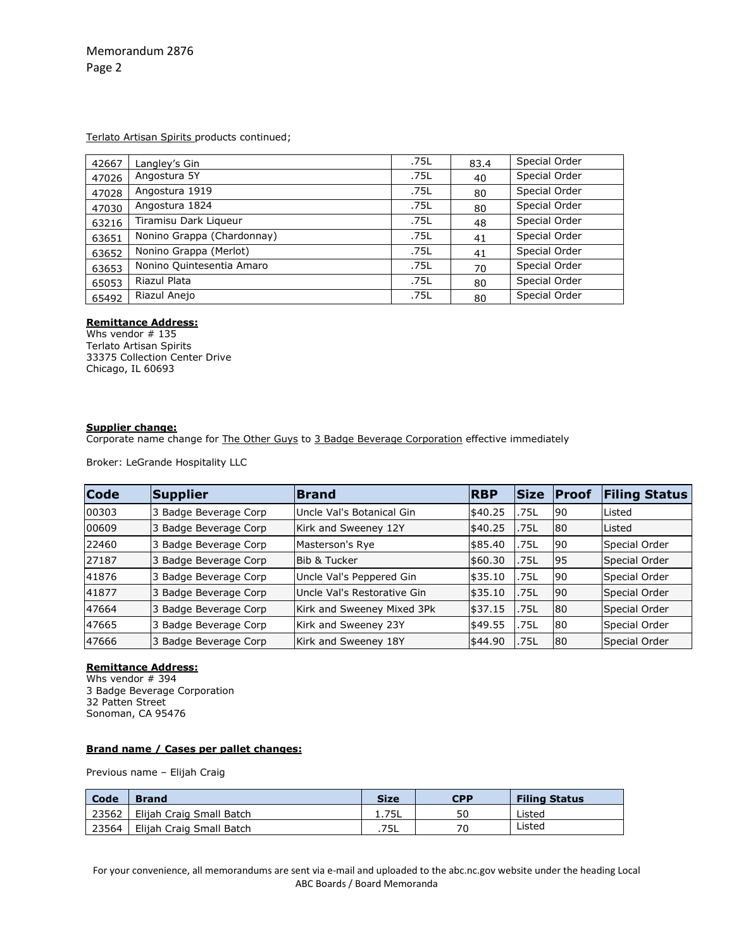Memorandum 2876 Page 2

Terlato Artisan Spirits products continued;

| 42667 | Langley's Gin              | .75L | 83.4 | Special Order |
|-------|----------------------------|------|------|---------------|
| 47026 | Angostura 5Y               | .75L | 40   | Special Order |
| 47028 | Angostura 1919             | .75L | 80   | Special Order |
| 47030 | Angostura 1824             | .75L | 80   | Special Order |
| 63216 | Tiramisu Dark Liqueur      | .75L | 48   | Special Order |
| 63651 | Nonino Grappa (Chardonnay) | .75L | 41   | Special Order |
| 63652 | Nonino Grappa (Merlot)     | .75L | 41   | Special Order |
| 63653 | Nonino Quintesentia Amaro  | .75L | 70   | Special Order |
| 65053 | Riazul Plata               | .75L | 80   | Special Order |
| 65492 | Riazul Anejo               | .75L | 80   | Special Order |

## **Remittance Address:**

Whs vendor # 135 Terlato Artisan Spirits 33375 Collection Center Drive Chicago, IL 60693

## **Supplier change:**

Corporate name change for The Other Guys to 3 Badge Beverage Corporation effective immediately

Broker: LeGrande Hospitality LLC

| <b>Code</b> | Supplier                 | <b>Brand</b>                | <b>IRBP</b> | lSize | <b>IProof</b> | <b>Filing Status</b> |
|-------------|--------------------------|-----------------------------|-------------|-------|---------------|----------------------|
| 00303       | 3 Badge Beverage Corp    | Uncle Val's Botanical Gin   | \$40.25     | .75L  | l90           | Listed               |
| 00609       | Badge Beverage Corp<br>3 | Kirk and Sweeney 12Y        | \$40.25     | .75L  | 80            | Listed               |
| 22460       | 3 Badge Beverage Corp    | Masterson's Rye             | \$85.40     | .75L  | 90            | Special Order        |
| 27187       | Badge Beverage Corp<br>3 | Bib & Tucker                | \$60.30     | .75L  | 195           | Special Order        |
| 41876       | 3 Badge Beverage Corp    | Uncle Val's Peppered Gin    | \$35.10     | .75L  | 90            | Special Order        |
| 41877       | 3 Badge Beverage Corp    | Uncle Val's Restorative Gin | \$35.10     | .75L  | l90           | Special Order        |
| 47664       | 3 Badge Beverage Corp    | Kirk and Sweeney Mixed 3Pk  | \$37.15     | .75L  | 80            | Special Order        |
| 47665       | 3 Badge Beverage Corp    | Kirk and Sweeney 23Y        | \$49.55     | .75L  | 80            | Special Order        |
| 47666       | Badge Beverage Corp<br>3 | Kirk and Sweeney 18Y        | \$44.90     | .75L  | 80            | Special Order        |

#### **Remittance Address:**

Whs vendor # 394 3 Badge Beverage Corporation 32 Patten Street Sonoman, CA 95476

## **Brand name / Cases per pallet changes:**

Previous name – Elijah Craig

| Code  | <b>Brand</b>                 | <b>Size</b> | <b>CPP</b> | <b>Filing Status</b> |
|-------|------------------------------|-------------|------------|----------------------|
| 23562 | .   Elijah Craig Small Batch | 1.75L       | 50         | Listed               |
| 23564 | Elijah Craig Small Batch     | .75L        | 70         | Listed               |

For your convenience, all memorandums are sent via e-mail and uploaded to the abc.nc.gov website under the heading Local ABC Boards / Board Memoranda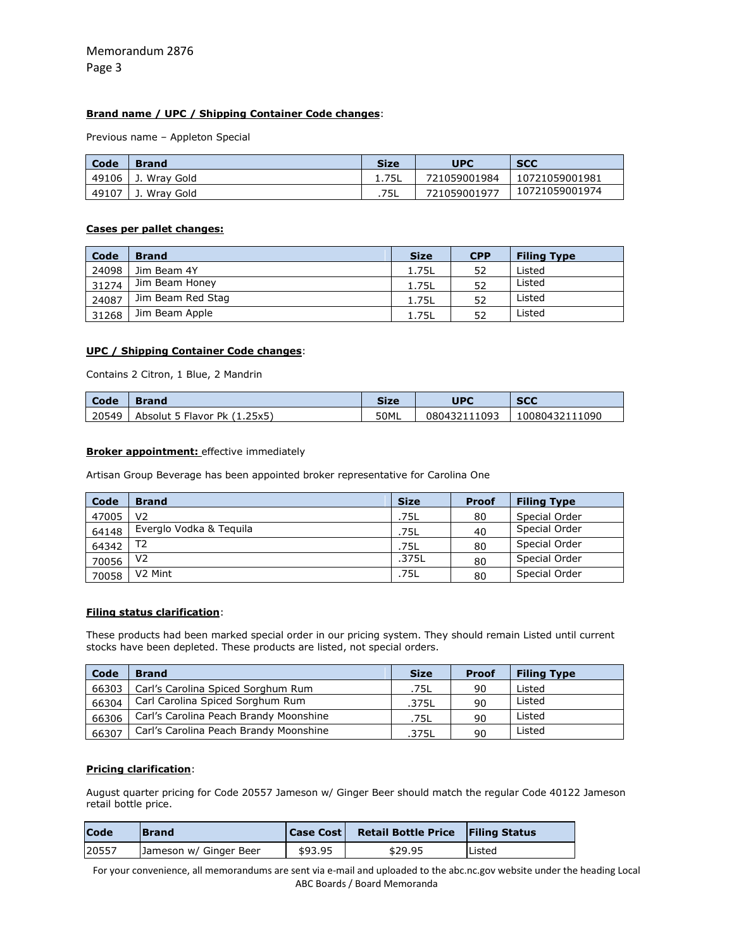## **Brand name / UPC / Shipping Container Code changes**:

Previous name – Appleton Special

| Code  | <b>Brand</b> | <b>Size</b> | <b>UPC</b>   | <b>SCC</b>     |
|-------|--------------|-------------|--------------|----------------|
| 49106 | . Wrav Gold  |             | 721059001984 | 10721059001981 |
| 49107 | Wrav Gold    | .75L        | 721059001977 | 10721059001974 |

#### **Cases per pallet changes:**

| Code  | <b>Brand</b>      | <b>Size</b> | <b>CPP</b> | <b>Filing Type</b> |
|-------|-------------------|-------------|------------|--------------------|
| 24098 | Jim Beam 4Y       | 1.75L       | 52         | Listed             |
| 31274 | Jim Beam Honey    | 1.75L       | 52         | Listed             |
| 24087 | Jim Beam Red Stag | 1.75L       | 52         | Listed             |
| 31268 | Jim Beam Apple    | 1.75L       | 52         | Listed             |

#### **UPC / Shipping Container Code changes**:

Contains 2 Citron, 1 Blue, 2 Mandrin

| Code  | Brand                             | Size | UPC          | <b>SCC</b>     |
|-------|-----------------------------------|------|--------------|----------------|
| 20549 | Absolut 5 Flavor Pk (1.<br>1.25x5 | 50ML | 080432111093 | 10080432111090 |

#### **Broker appointment:** effective immediately

Artisan Group Beverage has been appointed broker representative for Carolina One

| Code  | <b>Brand</b>            | <b>Size</b> | Proof | <b>Filing Type</b> |
|-------|-------------------------|-------------|-------|--------------------|
| 47005 | V2                      | .75L        | 80    | Special Order      |
| 64148 | Everglo Vodka & Teguila | .75L        | 40    | Special Order      |
| 64342 | T <sub>2</sub>          | .75L        | 80    | Special Order      |
| 70056 | V2                      | .375L       | 80    | Special Order      |
| 70058 | V <sub>2</sub> Mint     | .75L        | 80    | Special Order      |

## **Filing status clarification**:

These products had been marked special order in our pricing system. They should remain Listed until current stocks have been depleted. These products are listed, not special orders.

| Code  | <b>Brand</b>                           | <b>Size</b> | <b>Proof</b> | <b>Filing Type</b> |
|-------|----------------------------------------|-------------|--------------|--------------------|
| 66303 | Carl's Carolina Spiced Sorghum Rum     | .75L        | 90           | Listed             |
| 66304 | Carl Carolina Spiced Sorghum Rum       | .375L       | 90           | Listed             |
| 66306 | Carl's Carolina Peach Brandy Moonshine | .75L        | 90           | Listed             |
| 66307 | Carl's Carolina Peach Brandy Moonshine | .375L       | 90           | Listed             |

## **Pricing clarification**:

August quarter pricing for Code 20557 Jameson w/ Ginger Beer should match the regular Code 40122 Jameson retail bottle price.

| <b>Code</b> | <b>Brand</b>           | <b>Case Cost</b> | <b>Retail Bottle Price Filing Status</b> |               |
|-------------|------------------------|------------------|------------------------------------------|---------------|
| 20557       | Jameson w/ Ginger Beer | \$93.95          | \$29.95                                  | <b>Listed</b> |

For your convenience, all memorandums are sent via e-mail and uploaded to the abc.nc.gov website under the heading Local ABC Boards / Board Memoranda